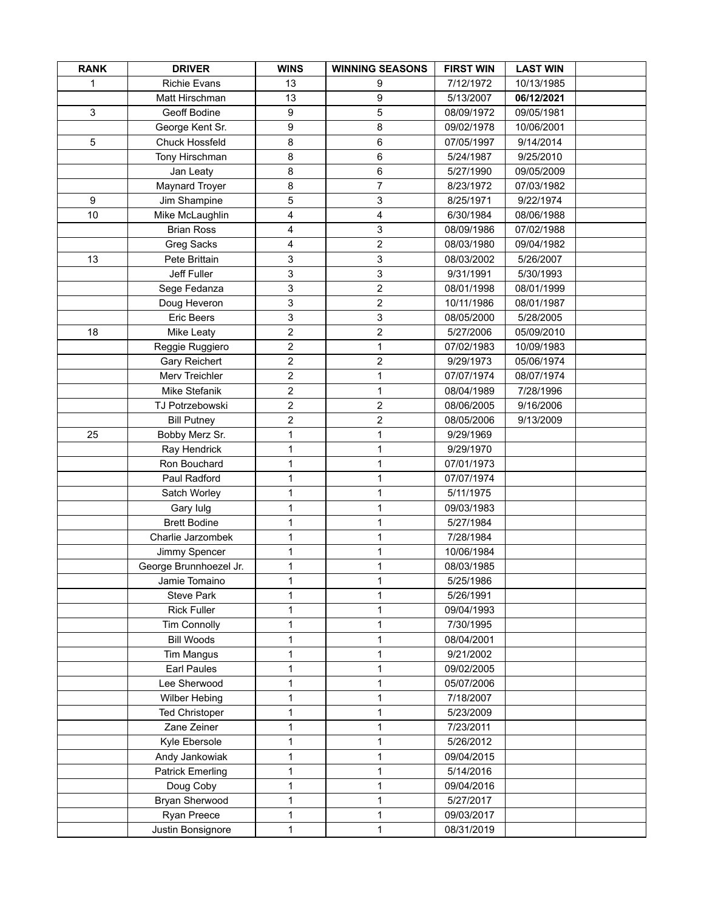| <b>RANK</b> | <b>DRIVER</b>                            | <b>WINS</b>      | <b>WINNING SEASONS</b> | <b>FIRST WIN</b> | <b>LAST WIN</b> |  |
|-------------|------------------------------------------|------------------|------------------------|------------------|-----------------|--|
| 1           | <b>Richie Evans</b>                      | 13               | 9                      | 7/12/1972        | 10/13/1985      |  |
|             | Matt Hirschman                           | 13               | 9                      | 5/13/2007        | 06/12/2021      |  |
| 3           | Geoff Bodine                             | $\boldsymbol{9}$ | 5                      | 08/09/1972       | 09/05/1981      |  |
|             | George Kent Sr.                          | 9                | 8                      | 09/02/1978       | 10/06/2001      |  |
| 5           | <b>Chuck Hossfeld</b>                    | 8                | 6                      | 07/05/1997       | 9/14/2014       |  |
|             | Tony Hirschman                           | 8                | 6                      | 5/24/1987        | 9/25/2010       |  |
|             | Jan Leaty                                | 8                | 6                      | 5/27/1990        | 09/05/2009      |  |
|             | <b>Maynard Troyer</b>                    | 8                | $\overline{7}$         | 8/23/1972        | 07/03/1982      |  |
| 9           | Jim Shampine                             | 5                | 3                      | 8/25/1971        | 9/22/1974       |  |
| 10          | Mike McLaughlin                          | $\overline{4}$   | $\overline{4}$         | 6/30/1984        | 08/06/1988      |  |
|             | <b>Brian Ross</b>                        | 4                | 3                      | 08/09/1986       | 07/02/1988      |  |
|             | Greg Sacks                               | 4                | $\overline{2}$         | 08/03/1980       | 09/04/1982      |  |
| 13          | Pete Brittain                            | 3                | 3                      | 08/03/2002       | 5/26/2007       |  |
|             | Jeff Fuller                              | 3                | 3                      | 9/31/1991        | 5/30/1993       |  |
|             | Sege Fedanza                             | 3                | $\overline{2}$         | 08/01/1998       | 08/01/1999      |  |
|             | Doug Heveron                             | 3                | $\overline{c}$         | 10/11/1986       | 08/01/1987      |  |
|             | Eric Beers                               | 3                | 3                      | 08/05/2000       | 5/28/2005       |  |
| 18          | Mike Leaty                               | $\overline{2}$   | $\overline{2}$         | 5/27/2006        | 05/09/2010      |  |
|             | Reggie Ruggiero                          | $\overline{2}$   | 1                      | 07/02/1983       | 10/09/1983      |  |
|             | Gary Reichert                            | $\overline{2}$   | $\overline{2}$         | 9/29/1973        | 05/06/1974      |  |
|             | Merv Treichler                           | $\overline{c}$   | 1                      | 07/07/1974       | 08/07/1974      |  |
|             | Mike Stefanik                            | $\overline{2}$   | 1                      | 08/04/1989       | 7/28/1996       |  |
|             | TJ Potrzebowski                          | $\overline{c}$   | $\overline{c}$         | 08/06/2005       | 9/16/2006       |  |
|             | <b>Bill Putney</b>                       | $\overline{c}$   | $\overline{c}$         | 08/05/2006       | 9/13/2009       |  |
| 25          | Bobby Merz Sr.                           | 1                | 1                      | 9/29/1969        |                 |  |
|             | Ray Hendrick                             | 1                | 1                      | 9/29/1970        |                 |  |
|             | Ron Bouchard                             | 1                | 1                      | 07/01/1973       |                 |  |
|             | Paul Radford                             | 1                | 1                      | 07/07/1974       |                 |  |
|             | Satch Worley                             | 1                | 1                      | 5/11/1975        |                 |  |
|             | Gary lulg                                | 1                | 1                      | 09/03/1983       |                 |  |
|             | <b>Brett Bodine</b>                      | 1                | 1                      | 5/27/1984        |                 |  |
|             | Charlie Jarzombek                        | 1                | 1                      | 7/28/1984        |                 |  |
|             | Jimmy Spencer                            | 1                | 1                      | 10/06/1984       |                 |  |
|             | George Brunnhoezel Jr.                   | 1                | 1                      | 08/03/1985       |                 |  |
|             | Jamie Tomaino                            | 1                |                        | 5/25/1986        |                 |  |
|             | <b>Steve Park</b>                        | 1                | 1                      | 5/26/1991        |                 |  |
|             | <b>Rick Fuller</b>                       | 1                | 1                      | 09/04/1993       |                 |  |
|             |                                          | 1                | 1                      | 7/30/1995        |                 |  |
|             | <b>Tim Connolly</b><br><b>Bill Woods</b> | 1                | 1                      | 08/04/2001       |                 |  |
|             |                                          | 1                |                        | 9/21/2002        |                 |  |
|             | <b>Tim Mangus</b>                        |                  | 1                      |                  |                 |  |
|             | Earl Paules                              | 1                | 1                      | 09/02/2005       |                 |  |
|             | Lee Sherwood                             | 1                | 1                      | 05/07/2006       |                 |  |
|             | Wilber Hebing                            | 1                | 1                      | 7/18/2007        |                 |  |
|             | <b>Ted Christoper</b>                    | 1                | 1                      | 5/23/2009        |                 |  |
|             | Zane Zeiner                              | 1                | 1                      | 7/23/2011        |                 |  |
|             | Kyle Ebersole                            | 1                | 1                      | 5/26/2012        |                 |  |
|             | Andy Jankowiak                           | 1                | 1                      | 09/04/2015       |                 |  |
|             | <b>Patrick Emerling</b>                  | 1                | 1                      | 5/14/2016        |                 |  |
|             | Doug Coby                                | 1                | 1                      | 09/04/2016       |                 |  |
|             | Bryan Sherwood                           | 1                | 1                      | 5/27/2017        |                 |  |
|             | Ryan Preece                              | 1                | 1                      | 09/03/2017       |                 |  |
|             | Justin Bonsignore                        | 1                | 1                      | 08/31/2019       |                 |  |